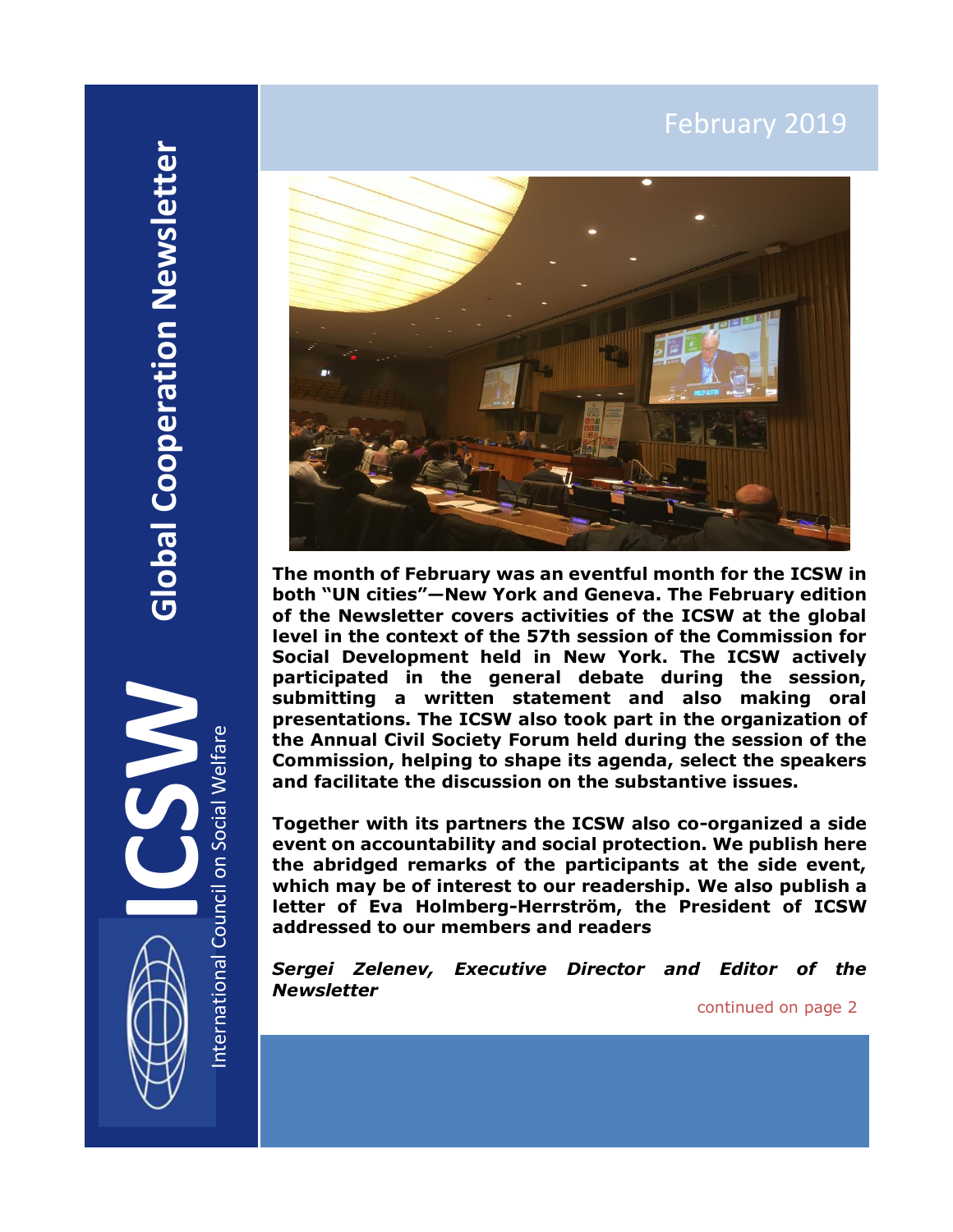# February 2019

International Council on Social Welfare



**ICSWARD SUBSET OF SUBSET OF SUBSET OF SUBSET OF SUBSET OF SUBSET OF SUBSET OF SUBSET OF SUBSET OF SUBSET OF SUBSET OF SUBSET OF SUBSET OF SUBSET OF SUBSET OF SUBSET OF SUBSET OF SUBSET OF SUBSET OF SUBSET OF SUBSET OF SUB The month of February was an eventful month for the ICSW in both "UN cities"—New York and Geneva. The February edition of the Newsletter covers activities of the ICSW at the global level in the context of the 57th session of the Commission for Social Development held in New York. The ICSW actively participated in the general debate during the session, submitting a written statement and also making oral presentations. The ICSW also took part in the organization of the Annual Civil Society Forum held during the session of the Commission, helping to shape its agenda, select the speakers and facilitate the discussion on the substantive issues.**

**Together with its partners the ICSW also co-organized a side event on accountability and social protection. We publish here the abridged remarks of the participants at the side event, which may be of interest to our readership. We also publish a letter of Eva Holmberg-Herrström, the President of ICSW addressed to our members and readers**

*Sergei Zelenev, Executive Director and Editor of the Newsletter*

continued on page 2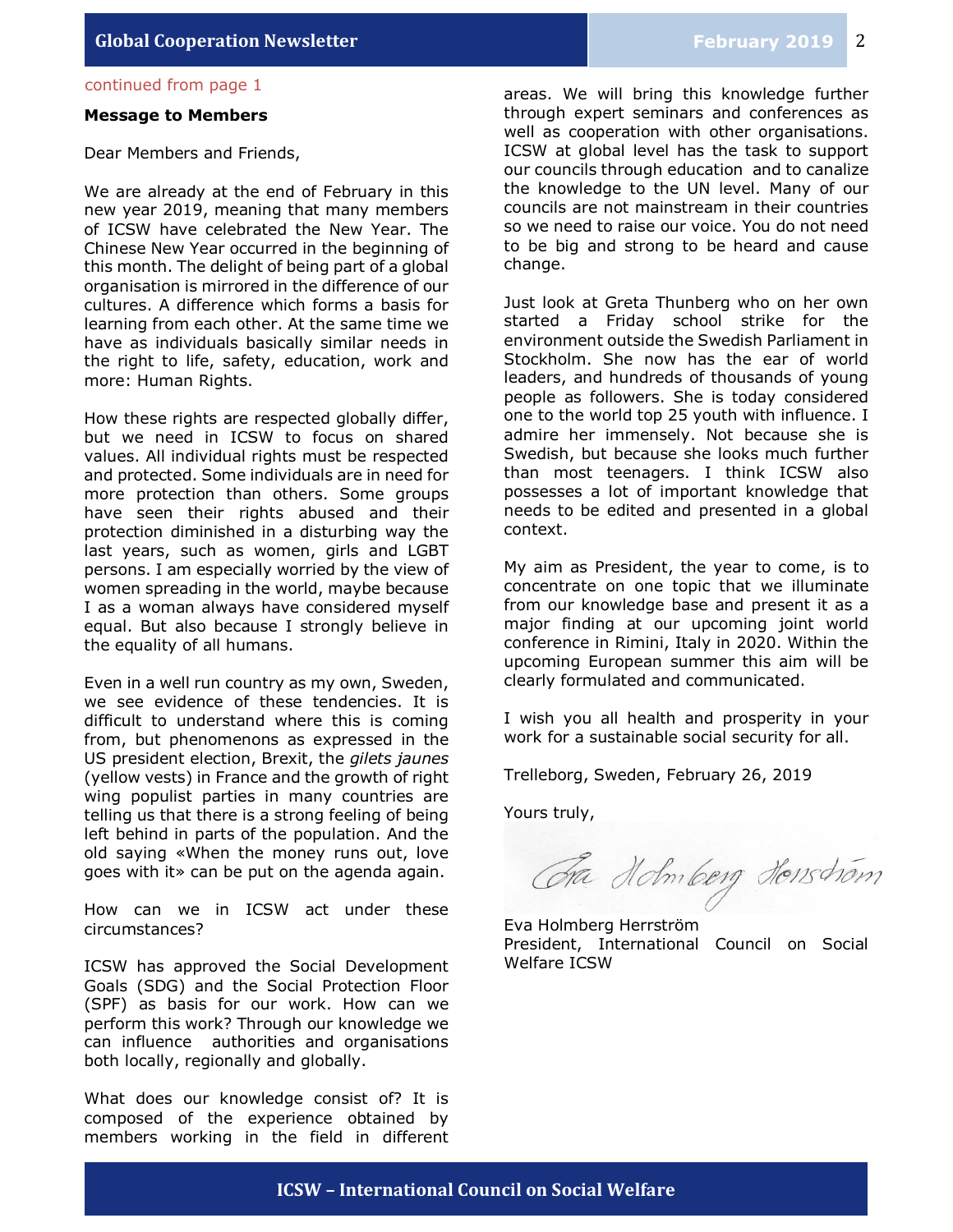### continued from page 1

#### **Message to Members**

Dear Members and Friends,

We are already at the end of February in this new year 2019, meaning that many members of ICSW have celebrated the New Year. The Chinese New Year occurred in the beginning of this month. The delight of being part of a global organisation is mirrored in the difference of our cultures. A difference which forms a basis for learning from each other. At the same time we have as individuals basically similar needs in the right to life, safety, education, work and more: Human Rights.

How these rights are respected globally differ, but we need in ICSW to focus on shared values. All individual rights must be respected and protected. Some individuals are in need for more protection than others. Some groups have seen their rights abused and their protection diminished in a disturbing way the last years, such as women, girls and LGBT persons. I am especially worried by the view of women spreading in the world, maybe because I as a woman always have considered myself equal. But also because I strongly believe in the equality of all humans.

Even in a well run country as my own, Sweden, we see evidence of these tendencies. It is difficult to understand where this is coming from, but phenomenons as expressed in the US president election, Brexit, the *gilets jaunes*  (yellow vests) in France and the growth of right wing populist parties in many countries are telling us that there is a strong feeling of being left behind in parts of the population. And the old saying «When the money runs out, love goes with it» can be put on the agenda again.

How can we in ICSW act under these circumstances?

ICSW has approved the Social Development Goals (SDG) and the Social Protection Floor (SPF) as basis for our work. How can we perform this work? Through our knowledge we can influence authorities and organisations both locally, regionally and globally.

What does our knowledge consist of? It is composed of the experience obtained by members working in the field in different

areas. We will bring this knowledge further through expert seminars and conferences as well as cooperation with other organisations. ICSW at global level has the task to support our councils through education and to canalize the knowledge to the UN level. Many of our councils are not mainstream in their countries so we need to raise our voice. You do not need to be big and strong to be heard and cause change.

Just look at Greta Thunberg who on her own started a Friday school strike for the environment outside the Swedish Parliament in Stockholm. She now has the ear of world leaders, and hundreds of thousands of young people as followers. She is today considered one to the world top 25 youth with influence. I admire her immensely. Not because she is Swedish, but because she looks much further than most teenagers. I think ICSW also possesses a lot of important knowledge that needs to be edited and presented in a global context.

My aim as President, the year to come, is to concentrate on one topic that we illuminate from our knowledge base and present it as a major finding at our upcoming joint world conference in Rimini, Italy in 2020. Within the upcoming European summer this aim will be clearly formulated and communicated.

I wish you all health and prosperity in your work for a sustainable social security for all.

Trelleborg, Sweden, February 26, 2019

Yours truly,

Ga Holmberg Honschom

Eva Holmberg Herrström President, International Council on Social Welfare ICSW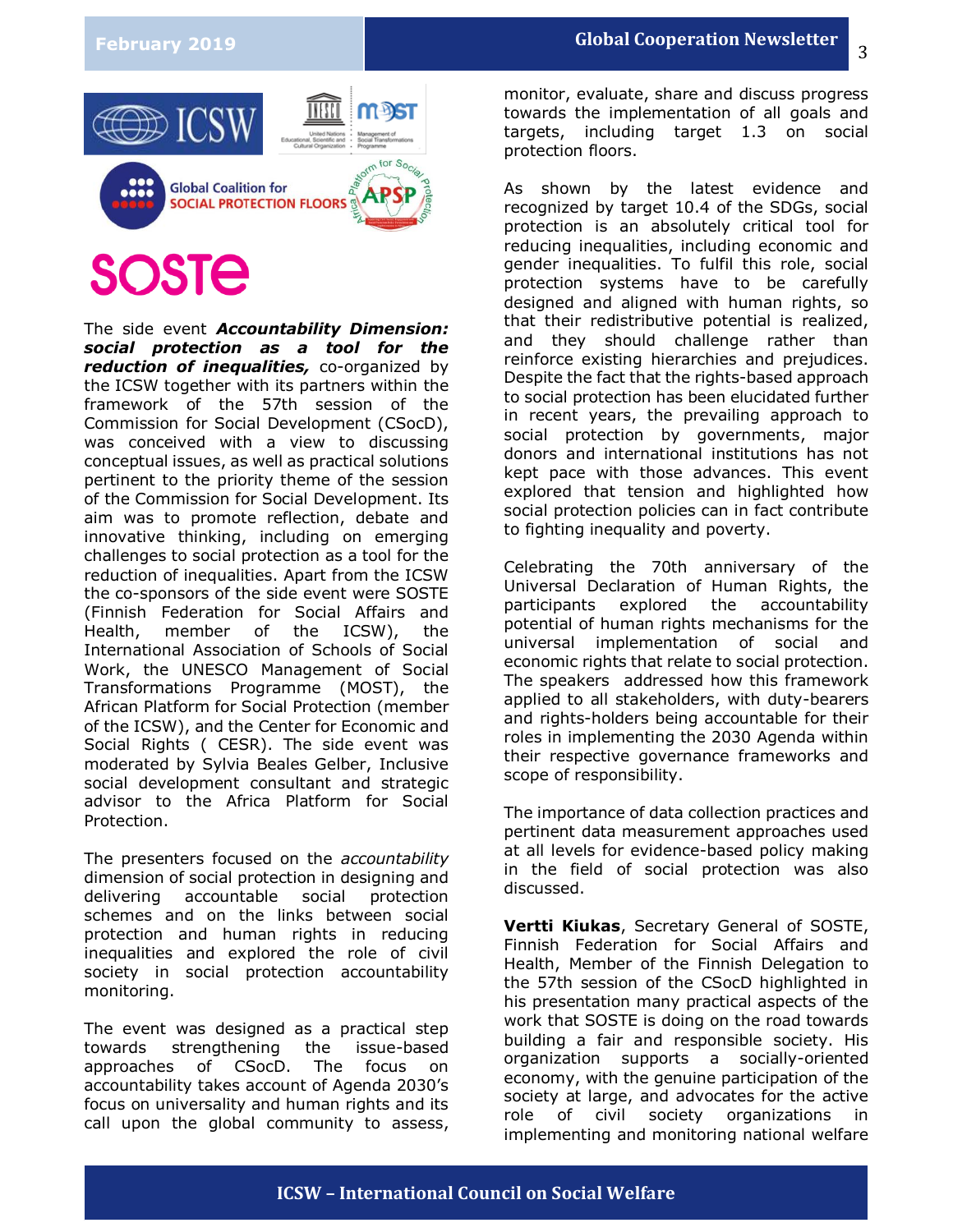

# **SOSTE**

The side event *Accountability Dimension: social protection as a tool for the reduction of inequalities,* co-organized by the ICSW together with its partners within the framework of the 57th session of the Commission for Social Development (CSocD), was conceived with a view to discussing conceptual issues, as well as practical solutions pertinent to the priority theme of the session of the Commission for Social Development. Its aim was to promote reflection, debate and innovative thinking, including on emerging challenges to social protection as a tool for the reduction of inequalities. Apart from the ICSW the co-sponsors of the side event were SOSTE (Finnish Federation for Social Affairs and Health, member of the ICSW), the International Association of Schools of Social Work, the UNESCO Management of Social Transformations Programme (MOST), the African Platform for Social Protection (member of the ICSW), and the Center for Economic and Social Rights ( CESR). The side event was moderated by Sylvia Beales Gelber, Inclusive social development consultant and strategic advisor to the Africa Platform for Social Protection.

The presenters focused on the *accountability* dimension of social protection in designing and delivering accountable social protection schemes and on the links between social protection and human rights in reducing inequalities and explored the role of civil society in social protection accountability monitoring.

The event was designed as a practical step towards strengthening the issue-based approaches of CSocD. The focus on accountability takes account of Agenda 2030's focus on universality and human rights and its call upon the global community to assess,

monitor, evaluate, share and discuss progress towards the implementation of all goals and targets, including target 1.3 on social protection floors.

As shown by the latest evidence and recognized by target 10.4 of the SDGs, social protection is an absolutely critical tool for reducing inequalities, including economic and gender inequalities. To fulfil this role, social protection systems have to be carefully designed and aligned with human rights, so that their redistributive potential is realized, and they should challenge rather than reinforce existing hierarchies and prejudices. Despite the fact that the rights-based approach to social protection has been elucidated further in recent years, the prevailing approach to social protection by governments, major donors and international institutions has not kept pace with those advances. This event explored that tension and highlighted how social protection policies can in fact contribute to fighting inequality and poverty.

Celebrating the 70th anniversary of the Universal Declaration of Human Rights, the participants explored the accountability potential of human rights mechanisms for the universal implementation of social and economic rights that relate to social protection. The speakers addressed how this framework applied to all stakeholders, with duty-bearers and rights-holders being accountable for their roles in implementing the 2030 Agenda within their respective governance frameworks and scope of responsibility.

The importance of data collection practices and pertinent data measurement approaches used at all levels for evidence-based policy making in the field of social protection was also discussed.

**Vertti Kiukas**, Secretary General of SOSTE, Finnish Federation for Social Affairs and Health, Member of the Finnish Delegation to the 57th session of the CSocD highlighted in his presentation many practical aspects of the work that SOSTE is doing on the road towards building a fair and responsible society. His organization supports a socially-oriented economy, with the genuine participation of the society at large, and advocates for the active role of civil society organizations in implementing and monitoring national welfare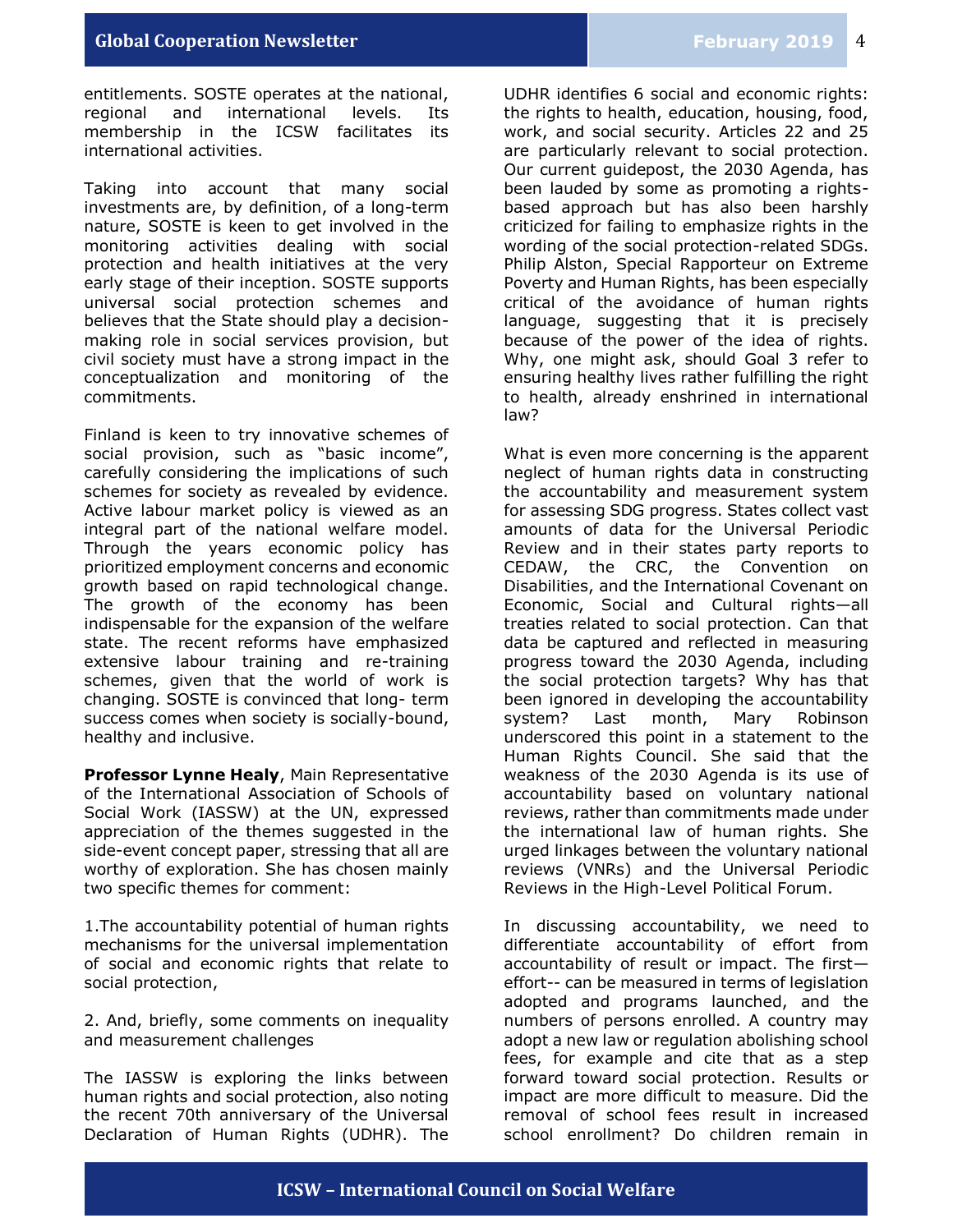entitlements. SOSTE operates at the national, regional and international levels. Its membership in the ICSW facilitates its international activities.

Taking into account that many social investments are, by definition, of a long-term nature, SOSTE is keen to get involved in the monitoring activities dealing with social protection and health initiatives at the very early stage of their inception. SOSTE supports universal social protection schemes and believes that the State should play a decisionmaking role in social services provision, but civil society must have a strong impact in the conceptualization and monitoring of the commitments.

Finland is keen to try innovative schemes of social provision, such as "basic income", carefully considering the implications of such schemes for society as revealed by evidence. Active labour market policy is viewed as an integral part of the national welfare model. Through the years economic policy has prioritized employment concerns and economic growth based on rapid technological change. The growth of the economy has been indispensable for the expansion of the welfare state. The recent reforms have emphasized extensive labour training and re-training schemes, given that the world of work is changing. SOSTE is convinced that long- term success comes when society is socially-bound, healthy and inclusive.

**Professor Lynne Healy**, Main Representative of the International Association of Schools of Social Work (IASSW) at the UN, expressed appreciation of the themes suggested in the side-event concept paper, stressing that all are worthy of exploration. She has chosen mainly two specific themes for comment:

1.The accountability potential of human rights mechanisms for the universal implementation of social and economic rights that relate to social protection,

2. And, briefly, some comments on inequality and measurement challenges

The IASSW is exploring the links between human rights and social protection, also noting the recent 70th anniversary of the Universal Declaration of Human Rights (UDHR). The

UDHR identifies 6 social and economic rights: the rights to health, education, housing, food, work, and social security. Articles 22 and 25 are particularly relevant to social protection. Our current guidepost, the 2030 Agenda, has been lauded by some as promoting a rightsbased approach but has also been harshly criticized for failing to emphasize rights in the wording of the social protection-related SDGs. Philip Alston, Special Rapporteur on Extreme Poverty and Human Rights, has been especially critical of the avoidance of human rights language, suggesting that it is precisely because of the power of the idea of rights. Why, one might ask, should Goal 3 refer to ensuring healthy lives rather fulfilling the right to health, already enshrined in international law?

What is even more concerning is the apparent neglect of human rights data in constructing the accountability and measurement system for assessing SDG progress. States collect vast amounts of data for the Universal Periodic Review and in their states party reports to CEDAW, the CRC, the Convention on Disabilities, and the International Covenant on Economic, Social and Cultural rights—all treaties related to social protection. Can that data be captured and reflected in measuring progress toward the 2030 Agenda, including the social protection targets? Why has that been ignored in developing the accountability system? Last month, Mary Robinson underscored this point in a statement to the Human Rights Council. She said that the weakness of the 2030 Agenda is its use of accountability based on voluntary national reviews, rather than commitments made under the international law of human rights. She urged linkages between the voluntary national reviews (VNRs) and the Universal Periodic Reviews in the High-Level Political Forum.

In discussing accountability, we need to differentiate accountability of effort from accountability of result or impact. The first effort-- can be measured in terms of legislation adopted and programs launched, and the numbers of persons enrolled. A country may adopt a new law or regulation abolishing school fees, for example and cite that as a step forward toward social protection. Results or impact are more difficult to measure. Did the removal of school fees result in increased school enrollment? Do children remain in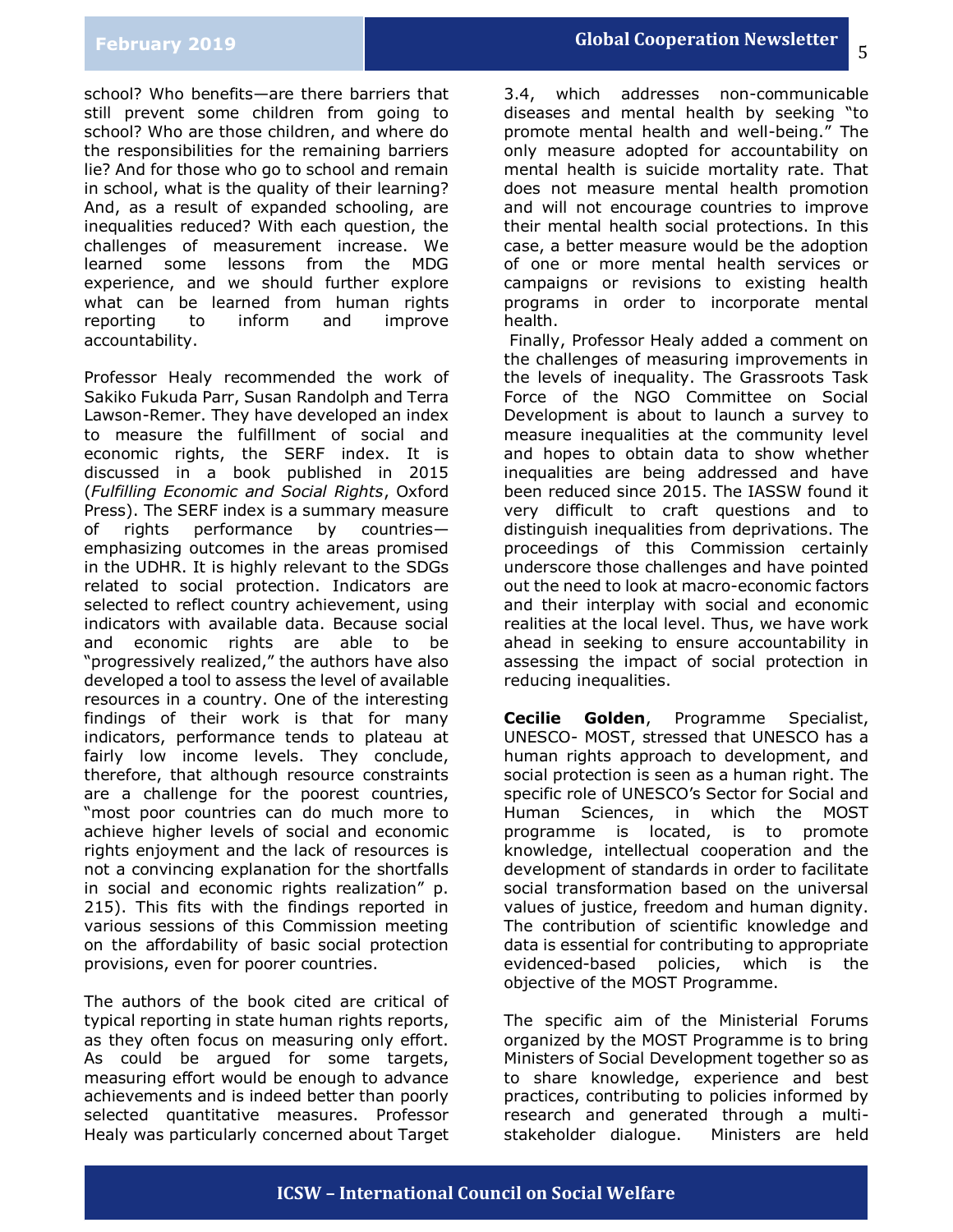## **February 2019**

school? Who benefits—are there barriers that still prevent some children from going to school? Who are those children, and where do the responsibilities for the remaining barriers lie? And for those who go to school and remain in school, what is the quality of their learning? And, as a result of expanded schooling, are inequalities reduced? With each question, the challenges of measurement increase. We learned some lessons from the MDG experience, and we should further explore what can be learned from human rights reporting to inform and improve accountability.

Professor Healy recommended the work of Sakiko Fukuda Parr, Susan Randolph and Terra Lawson-Remer. They have developed an index to measure the fulfillment of social and economic rights, the SERF index. It is discussed in a book published in 2015 (*Fulfilling Economic and Social Rights*, Oxford Press). The SERF index is a summary measure of rights performance by countries emphasizing outcomes in the areas promised in the UDHR. It is highly relevant to the SDGs related to social protection. Indicators are selected to reflect country achievement, using indicators with available data. Because social and economic rights are able to be "progressively realized," the authors have also developed a tool to assess the level of available resources in a country. One of the interesting findings of their work is that for many indicators, performance tends to plateau at fairly low income levels. They conclude, therefore, that although resource constraints are a challenge for the poorest countries, "most poor countries can do much more to achieve higher levels of social and economic rights enjoyment and the lack of resources is not a convincing explanation for the shortfalls in social and economic rights realization" p. 215). This fits with the findings reported in various sessions of this Commission meeting on the affordability of basic social protection provisions, even for poorer countries.

The authors of the book cited are critical of typical reporting in state human rights reports, as they often focus on measuring only effort. As could be argued for some targets, measuring effort would be enough to advance achievements and is indeed better than poorly selected quantitative measures. Professor Healy was particularly concerned about Target 5

3.4, which addresses non-communicable diseases and mental health by seeking "to promote mental health and well-being." The only measure adopted for accountability on mental health is suicide mortality rate. That does not measure mental health promotion and will not encourage countries to improve their mental health social protections. In this case, a better measure would be the adoption of one or more mental health services or campaigns or revisions to existing health programs in order to incorporate mental health.

Finally, Professor Healy added a comment on the challenges of measuring improvements in the levels of inequality. The Grassroots Task Force of the NGO Committee on Social Development is about to launch a survey to measure inequalities at the community level and hopes to obtain data to show whether inequalities are being addressed and have been reduced since 2015. The IASSW found it very difficult to craft questions and to distinguish inequalities from deprivations. The proceedings of this Commission certainly underscore those challenges and have pointed out the need to look at macro-economic factors and their interplay with social and economic realities at the local level. Thus, we have work ahead in seeking to ensure accountability in assessing the impact of social protection in reducing inequalities.

**Cecilie Golden**, Programme Specialist, UNESCO- MOST, stressed that UNESCO has a human rights approach to development, and social protection is seen as a human right. The specific role of UNESCO's Sector for Social and Human Sciences, in which the MOST programme is located, is to promote knowledge, intellectual cooperation and the development of standards in order to facilitate social transformation based on the universal values of justice, freedom and human dignity. The contribution of scientific knowledge and data is essential for contributing to appropriate evidenced-based policies, which is the objective of the MOST Programme.

The specific aim of the Ministerial Forums organized by the MOST Programme is to bring Ministers of Social Development together so as to share knowledge, experience and best practices, contributing to policies informed by research and generated through a multistakeholder dialogue. Ministers are held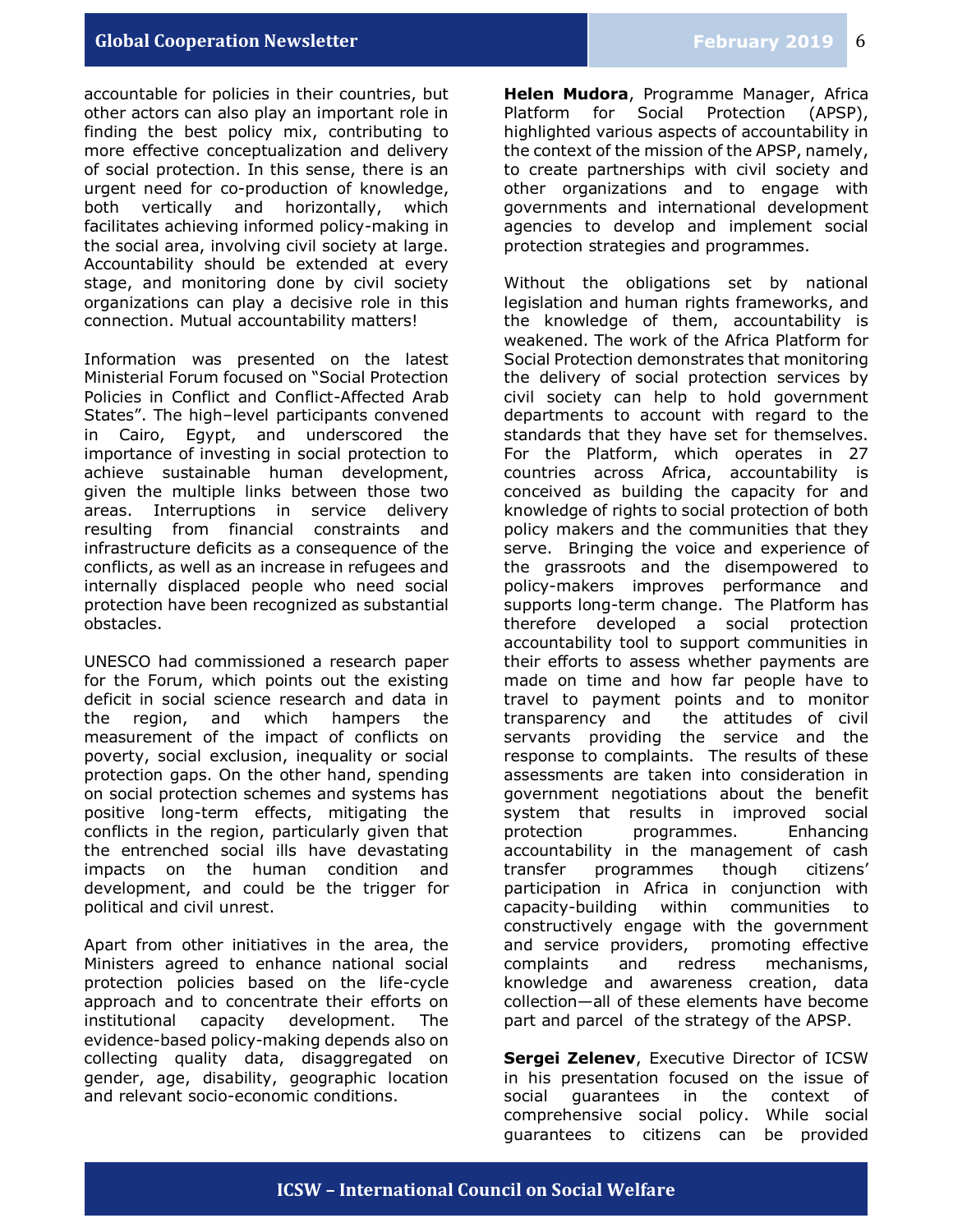accountable for policies in their countries, but other actors can also play an important role in finding the best policy mix, contributing to more effective conceptualization and delivery of social protection. In this sense, there is an urgent need for co-production of knowledge, both vertically and horizontally, which facilitates achieving informed policy-making in the social area, involving civil society at large. Accountability should be extended at every stage, and monitoring done by civil society organizations can play a decisive role in this connection. Mutual accountability matters!

Information was presented on the latest Ministerial Forum focused on "Social Protection Policies in Conflict and Conflict-Affected Arab States". The high–level participants convened in Cairo, Egypt, and underscored the importance of investing in social protection to achieve sustainable human development, given the multiple links between those two areas. Interruptions in service delivery resulting from financial constraints and infrastructure deficits as a consequence of the conflicts, as well as an increase in refugees and internally displaced people who need social protection have been recognized as substantial obstacles.

UNESCO had commissioned a research paper for the Forum, which points out the existing deficit in social science research and data in the region, and which hampers the measurement of the impact of conflicts on poverty, social exclusion, inequality or social protection gaps. On the other hand, spending on social protection schemes and systems has positive long-term effects, mitigating the conflicts in the region, particularly given that the entrenched social ills have devastating impacts on the human condition and development, and could be the trigger for political and civil unrest.

Apart from other initiatives in the area, the Ministers agreed to enhance national social protection policies based on the life-cycle approach and to concentrate their efforts on institutional capacity development. The evidence-based policy-making depends also on collecting quality data, disaggregated on gender, age, disability, geographic location and relevant socio-economic conditions.

**Helen Mudora**, Programme Manager, Africa Platform for Social Protection (APSP), highlighted various aspects of accountability in the context of the mission of the APSP, namely, to create partnerships with civil society and other organizations and to engage with governments and international development agencies to develop and implement social protection strategies and programmes.

Without the obligations set by national legislation and human rights frameworks, and the knowledge of them, accountability is weakened. The work of the Africa Platform for Social Protection demonstrates that monitoring the delivery of social protection services by civil society can help to hold government departments to account with regard to the standards that they have set for themselves. For the Platform, which operates in 27 countries across Africa, accountability is conceived as building the capacity for and knowledge of rights to social protection of both policy makers and the communities that they serve. Bringing the voice and experience of the grassroots and the disempowered to policy-makers improves performance and supports long-term change. The Platform has therefore developed a social protection accountability tool to support communities in their efforts to assess whether payments are made on time and how far people have to travel to payment points and to monitor transparency and the attitudes of civil servants providing the service and the response to complaints. The results of these assessments are taken into consideration in government negotiations about the benefit system that results in improved social protection programmes. Enhancing accountability in the management of cash transfer programmes though citizens' participation in Africa in conjunction with capacity-building within communities to constructively engage with the government and service providers, promoting effective complaints and redress mechanisms, knowledge and awareness creation, data collection—all of these elements have become part and parcel of the strategy of the APSP.

**Sergei Zelenev**, Executive Director of ICSW in his presentation focused on the issue of social guarantees in the context of comprehensive social policy. While social guarantees to citizens can be provided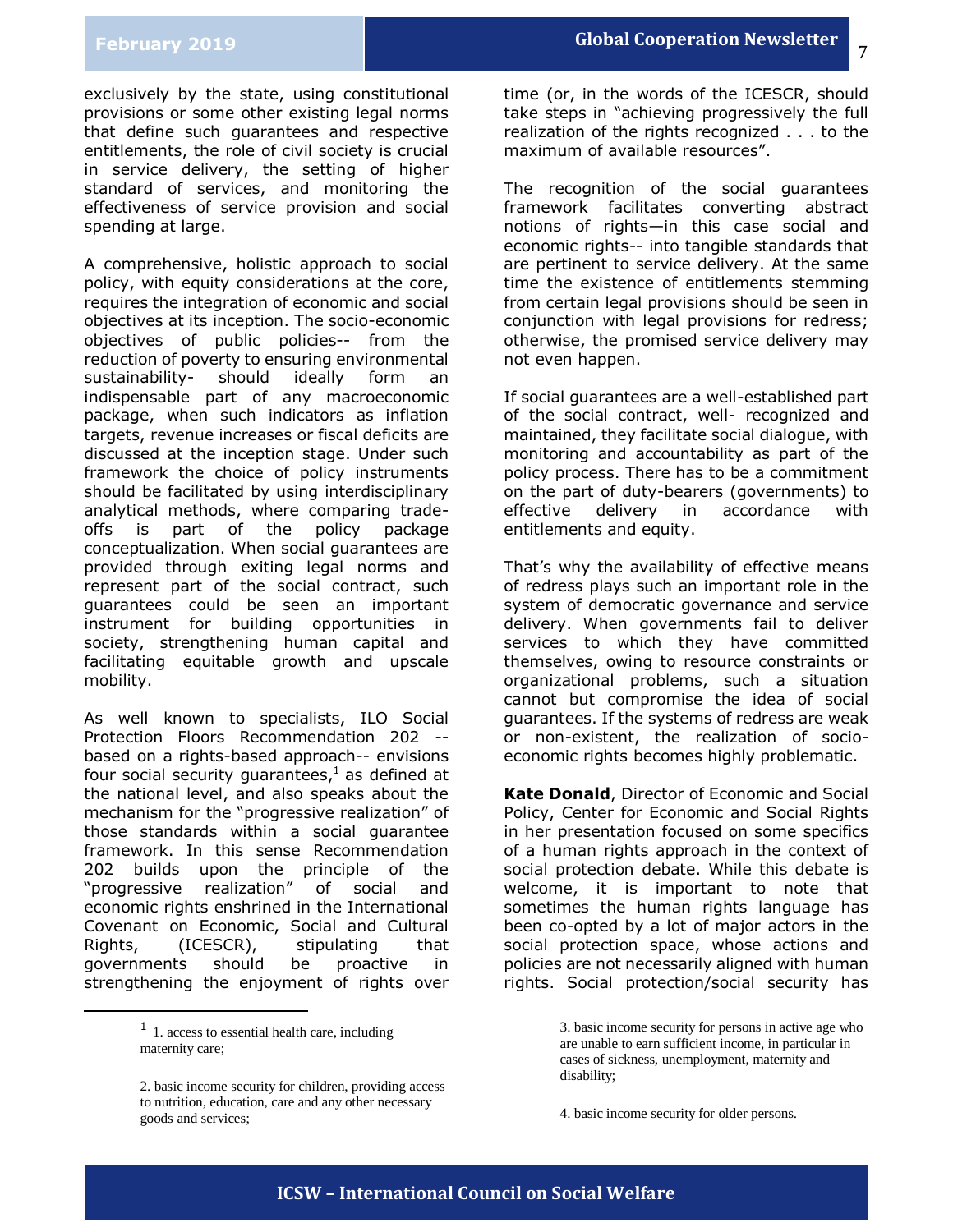7

exclusively by the state, using constitutional provisions or some other existing legal norms that define such guarantees and respective entitlements, the role of civil society is crucial in service delivery, the setting of higher standard of services, and monitoring the effectiveness of service provision and social spending at large.

A comprehensive, holistic approach to social policy, with equity considerations at the core, requires the integration of economic and social objectives at its inception. The socio-economic objectives of public policies-- from the reduction of poverty to ensuring environmental sustainability- should ideally form an indispensable part of any macroeconomic package, when such indicators as inflation targets, revenue increases or fiscal deficits are discussed at the inception stage. Under such framework the choice of policy instruments should be facilitated by using interdisciplinary analytical methods, where comparing tradeoffs is part of the policy package conceptualization. When social guarantees are provided through exiting legal norms and represent part of the social contract, such guarantees could be seen an important instrument for building opportunities in society, strengthening human capital and facilitating equitable growth and upscale mobility.

As well known to specialists, ILO Social Protection Floors Recommendation 202 - based on a rights-based approach-- envisions four social security quarantees, $<sup>1</sup>$  as defined at</sup> the national level, and also speaks about the mechanism for the "progressive realization" of those standards within a social guarantee framework. In this sense Recommendation 202 builds upon the principle of the "progressive realization" of social and economic rights enshrined in the International Covenant on Economic, Social and Cultural Rights, (ICESCR), stipulating that governments should be proactive in strengthening the enjoyment of rights over

> <sup>1</sup> 1. access to essential health care, including maternity care;

j

time (or, in the words of the ICESCR, should take steps in "achieving progressively the full realization of the rights recognized . . . to the maximum of available resources".

The recognition of the social guarantees framework facilitates converting abstract notions of rights—in this case social and economic rights-- into tangible standards that are pertinent to service delivery. At the same time the existence of entitlements stemming from certain legal provisions should be seen in conjunction with legal provisions for redress; otherwise, the promised service delivery may not even happen.

If social guarantees are a well-established part of the social contract, well- recognized and maintained, they facilitate social dialogue, with monitoring and accountability as part of the policy process. There has to be a commitment on the part of duty-bearers (governments) to effective delivery in accordance with entitlements and equity.

That's why the availability of effective means of redress plays such an important role in the system of democratic governance and service delivery. When governments fail to deliver services to which they have committed themselves, owing to resource constraints or organizational problems, such a situation cannot but compromise the idea of social guarantees. If the systems of redress are weak or non-existent, the realization of socioeconomic rights becomes highly problematic.

**Kate Donald**, Director of Economic and Social Policy, Center for Economic and Social Rights in her presentation focused on some specifics of a human rights approach in the context of social protection debate. While this debate is welcome, it is important to note that sometimes the human rights language has been co-opted by a lot of major actors in the social protection space, whose actions and policies are not necessarily aligned with human rights. Social protection/social security has

<sup>2.</sup> basic income security for children, providing access to nutrition, education, care and any other necessary goods and services;

<sup>3.</sup> basic income security for persons in active age who are unable to earn sufficient income, in particular in cases of sickness, unemployment, maternity and disability;

<sup>4.</sup> basic income security for older persons.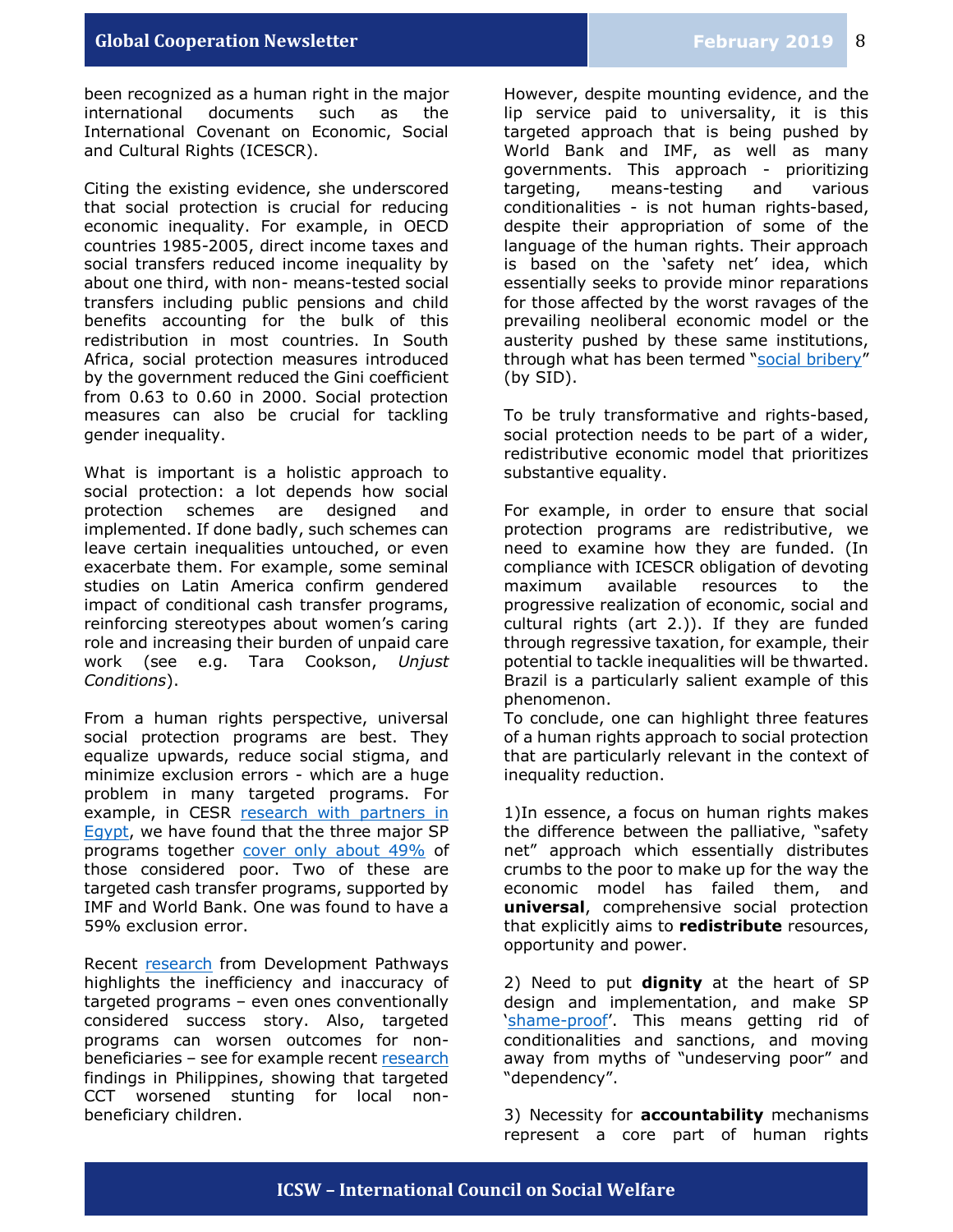been recognized as a human right in the major international documents such as the International Covenant on Economic, Social and Cultural Rights (ICESCR).

Citing the existing evidence, she underscored that social protection is crucial for reducing economic inequality. For example, in OECD countries 1985-2005, direct income taxes and social transfers reduced income inequality by about one third, with non- means-tested social transfers including public pensions and child benefits accounting for the bulk of this redistribution in most countries. In South Africa, social protection measures introduced by the government reduced the Gini coefficient from 0.63 to 0.60 in 2000. Social protection measures can also be crucial for tackling gender inequality.

What is important is a holistic approach to social protection: a lot depends how social protection schemes are designed and implemented. If done badly, such schemes can leave certain inequalities untouched, or even exacerbate them. For example, some seminal studies on Latin America confirm gendered impact of conditional cash transfer programs, reinforcing stereotypes about women's caring role and increasing their burden of unpaid care work (see e.g. Tara Cookson, *Unjust Conditions*).

From a human rights perspective, universal social protection programs are best. They equalize upwards, reduce social stigma, and minimize exclusion errors - which are a huge problem in many targeted programs. For example, in CESR research with partners in [Egypt,](http://progressegypt.org/) we have found that the three major SP programs together [cover only about 49%](https://www.progressegypt.org/en/indicator.html#cash-transfer) of those considered poor. Two of these are targeted cash transfer programs, supported by IMF and World Bank. One was found to have a 59% exclusion error.

Recent [research](https://www.developmentpathways.co.uk/news/effective-ways-to-reduce-child-poverty-and-targetings-record-of-failure-under-spotlight/) from Development Pathways highlights the inefficiency and inaccuracy of targeted programs – even ones conventionally considered success story. Also, targeted programs can worsen outcomes for nonbeneficiaries – see for example recent [research](https://openknowledge.worldbank.org/handle/10986/29557) findings in Philippines, showing that targeted CCT worsened stunting for local nonbeneficiary children.

However, despite mounting evidence, and the lip service paid to universality, it is this targeted approach that is being pushed by World Bank and IMF, as well as many governments. This approach - prioritizing targeting, means-testing and various conditionalities - is not human rights-based, despite their appropriation of some of the language of the human rights. Their approach is based on the 'safety net' idea, which essentially seeks to provide minor reparations for those affected by the worst ravages of the prevailing neoliberal economic model or the austerity pushed by these same institutions, through what has been termed "[social bribery](http://inequalities.sidint.net/soear/data/outlooks-on-inequalities)" (by SID).

To be truly transformative and rights-based, social protection needs to be part of a wider, redistributive economic model that prioritizes substantive equality.

For example, in order to ensure that social protection programs are redistributive, we need to examine how they are funded. (In compliance with ICESCR obligation of devoting maximum available resources to the progressive realization of economic, social and cultural rights (art 2.)). If they are funded through regressive taxation, for example, their potential to tackle inequalities will be thwarted. Brazil is a particularly salient example of this phenomenon.

To conclude, one can highlight three features of a human rights approach to social protection that are particularly relevant in the context of inequality reduction.

1)In essence, a focus on human rights makes the difference between the palliative, "safety net" approach which essentially distributes crumbs to the poor to make up for the way the economic model has failed them, and **universal**, comprehensive social protection that explicitly aims to **redistribute** resources, opportunity and power.

2) Need to put **dignity** at the heart of SP design and implementation, and make SP '[shame-proof](https://twitter.com/barrantesa27/status/1094974282667646982)'. This means getting rid of conditionalities and sanctions, and moving away from myths of "undeserving poor" and "dependency".

3) Necessity for **accountability** mechanisms represent a core part of human rights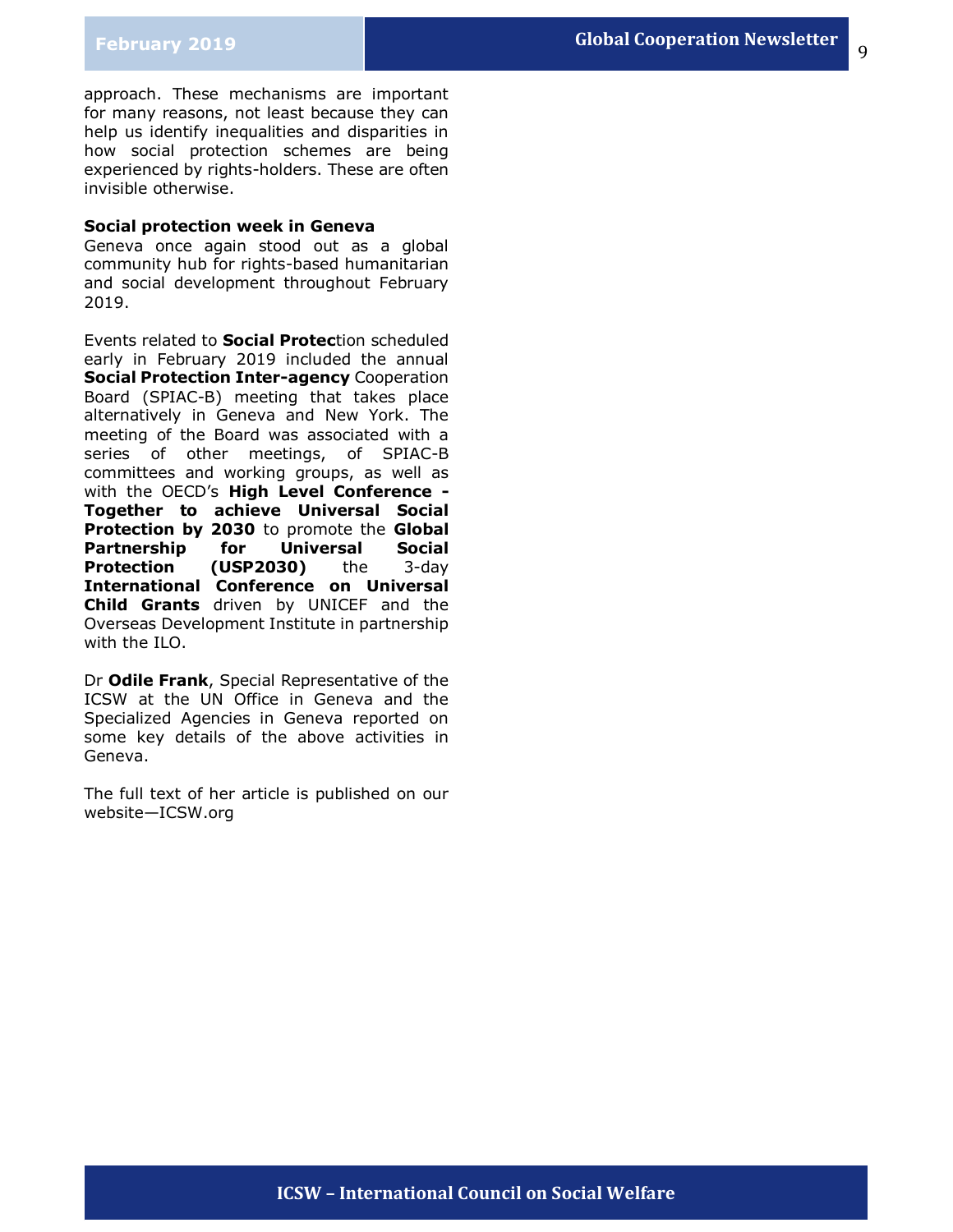9

approach. These mechanisms are important for many reasons, not least because they can help us identify inequalities and disparities in how social protection schemes are being experienced by rights-holders. These are often invisible otherwise.

### **Social protection week in Geneva**

Geneva once again stood out as a global community hub for rights-based humanitarian and social development throughout February 2019.

Events related to **Social Protec**tion scheduled early in February 2019 included the annual **Social Protection Inter-agency** Cooperation Board (SPIAC-B) meeting that takes place alternatively in Geneva and New York. The meeting of the Board was associated with a series of other meetings, of SPIAC-B committees and working groups, as well as with the OECD's **High Level Conference - Together to achieve Universal Social Protection by 2030** to promote the **Global Partnership for Universal Social Protection (USP2030)** the 3-day **International Conference on Universal Child Grants** driven by UNICEF and the Overseas Development Institute in partnership with the ILO.

Dr **Odile Frank**, Special Representative of the ICSW at the UN Office in Geneva and the Specialized Agencies in Geneva reported on some key details of the above activities in Geneva.

The full text of her article is published on our website—ICSW.org